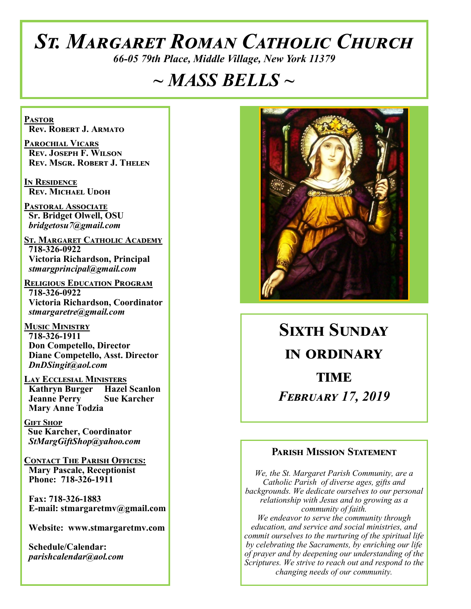# *St. Margaret Roman Catholic Church*

*66-05 79th Place, Middle Village, New York 11379*

# *~ MASS BELLS ~*

**Pastor Rev. Robert J. Armato**

**Parochial Vicars Rev. Joseph F. Wilson Rev. Msgr. Robert J. Thelen**

**In Residence Rev. Michael Udoh**

**Pastoral Associate Sr. Bridget Olwell, OSU**  *bridgetosu7@gmail.com*

**St. Margaret Catholic Academy 718-326-0922 Victoria Richardson, Principal**  *stmargprincipal@gmail.com*

**Religious Education Program 718-326-0922 Victoria Richardson, Coordinator** *stmargaretre@gmail.com*

**Music Ministry 718-326-1911 Don Competello, Director Diane Competello, Asst. Director** *DnDSingit@aol.com*

**Lay Ecclesial Ministers Kathryn Burger Hazel Scanlon**<br>**Jeanne Perry Sue Karcher Jeanne Perry Mary Anne Todzia**

**Gift Shop Sue Karcher, Coordinator** *StMargGiftShop@yahoo.com*

**Contact The Parish Offices: Mary Pascale, Receptionist Phone: 718-326-1911** 

 **Fax: 718-326-1883 E-mail: stmargaretmv@gmail.com**

 **Website: www.stmargaretmv.com**

 **Schedule/Calendar:** *parishcalendar@aol.com* 



**Sixth Sunday in ordinary TIME** *February 17, 2019* 

#### **Parish Mission Statement**

*We, the St. Margaret Parish Community, are a Catholic Parish of diverse ages, gifts and backgrounds. We dedicate ourselves to our personal relationship with Jesus and to growing as a community of faith. We endeavor to serve the community through education, and service and social ministries, and commit ourselves to the nurturing of the spiritual life by celebrating the Sacraments, by enriching our life of prayer and by deepening our understanding of the Scriptures. We strive to reach out and respond to the changing needs of our community.*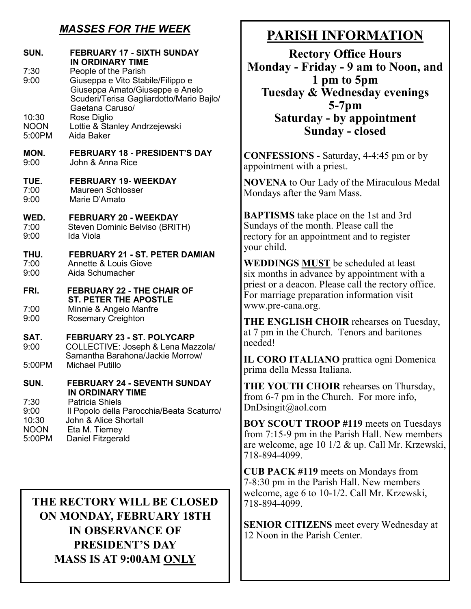## *MASSES FOR THE WEEK*

| SUN.<br>7:30<br>9:00           | <b>FEBRUARY 17 - SIXTH SUNDAY</b><br>IN ORDINARY TIME<br>People of the Parish<br>Giuseppa e Vito Stabile/Filippo e<br>Giuseppa Amato/Giuseppe e Anelo<br>Scuderi/Terisa Gagliardotto/Mario Bajlo/ |
|--------------------------------|---------------------------------------------------------------------------------------------------------------------------------------------------------------------------------------------------|
| 10:30<br><b>NOON</b><br>5:00PM | Gaetana Caruso/<br>Rose Diglio<br>Lottie & Stanley Andrzejewski<br>Aida Baker                                                                                                                     |
| MON.<br>9:00                   | <b>FEBRUARY 18 - PRESIDENT'S DAY</b><br>John & Anna Rice                                                                                                                                          |
| TUE.<br>7:00<br>9:00           | <b>FEBRUARY 19- WEEKDAY</b><br><b>Maureen Schlosser</b><br>Marie D'Amato                                                                                                                          |
| WED.<br>7:00<br>9:00           | <b>FEBRUARY 20 - WEEKDAY</b><br>Steven Dominic Belviso (BRITH)<br>Ida Viola                                                                                                                       |
| THU.<br>7:00<br>9:00           | <b>FEBRUARY 21 - ST. PETER DAMIAN</b><br>Annette & Louis Giove<br>Aida Schumacher                                                                                                                 |
|                                |                                                                                                                                                                                                   |
| FRI.                           | <b>FEBRUARY 22 - THE CHAIR OF</b>                                                                                                                                                                 |
| 7:00<br>9:00                   | <b>ST. PETER THE APOSTLE</b><br>Minnie & Angelo Manfre<br><b>Rosemary Creighton</b>                                                                                                               |
| SAT.<br>9:00                   | <b>FEBRUARY 23 - ST. POLYCARP</b><br>COLLECTIVE: Joseph & Lena Mazzola/                                                                                                                           |
| 5:00PM                         | Samantha Barahona/Jackie Morrow/<br><b>Michael Putillo</b>                                                                                                                                        |
| SUN.<br>7:30                   | <b>FEBRUARY 24 - SEVENTH SUNDAY</b><br><b>IN ORDINARY TIME</b><br><b>Patricia Shiels</b>                                                                                                          |

**THE RECTORY WILL BE CLOSED ON MONDAY, FEBRUARY 18TH IN OBSERVANCE OF PRESIDENT'S DAY MASS IS AT 9:00AM ONLY**

# **PARISH INFORMATION**

**Rectory Office Hours Monday - Friday - 9 am to Noon, and 1 pm to 5pm Tuesday & Wednesday evenings 5-7pm Saturday - by appointment Sunday - closed**

**CONFESSIONS** - Saturday, 4-4:45 pm or by appointment with a priest.

**NOVENA** to Our Lady of the Miraculous Medal Mondays after the 9am Mass.

**BAPTISMS** take place on the 1st and 3rd Sundays of the month. Please call the rectory for an appointment and to register your child.

**WEDDINGS MUST** be scheduled at least six months in advance by appointment with a priest or a deacon. Please call the rectory office. For marriage preparation information visit www.pre-cana.org.

**THE ENGLISH CHOIR** rehearses on Tuesday, at 7 pm in the Church. Tenors and baritones needed!

**IL CORO ITALIANO** prattica ogni Domenica prima della Messa Italiana.

**THE YOUTH CHOIR** rehearses on Thursday, from 6-7 pm in the Church. For more info, DnDsingit@aol.com

**BOY SCOUT TROOP #119** meets on Tuesdays from 7:15-9 pm in the Parish Hall. New members are welcome, age 10 1/2 & up. Call Mr. Krzewski, 718-894-4099.

**CUB PACK #119** meets on Mondays from 7-8:30 pm in the Parish Hall. New members welcome, age 6 to 10-1/2. Call Mr. Krzewski, 718-894-4099.

**SENIOR CITIZENS** meet every Wednesday at 12 Noon in the Parish Center.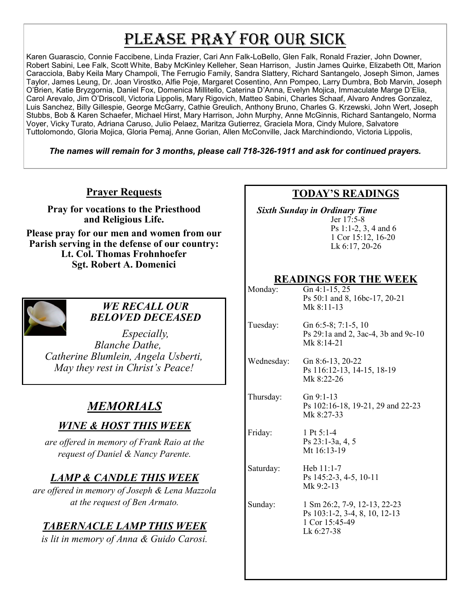# PLEASE PRAY FOR OUR SICK

Karen Guarascio, Connie Faccibene, Linda Frazier, Cari Ann Falk-LoBello, Glen Falk, Ronald Frazier, John Downer, Robert Sabini, Lee Falk, Scott White, Baby McKinley Kelleher, Sean Harrison, Justin James Quirke, Elizabeth Ott, Marion Caracciola, Baby Keila Mary Champoli, The Ferrugio Family, Sandra Slattery, Richard Santangelo, Joseph Simon, James Taylor, James Leung, Dr. Joan Virostko, Alfie Poje, Margaret Cosentino, Ann Pompeo, Larry Dumbra, Bob Marvin, Joseph O'Brien, Katie Bryzgornia, Daniel Fox, Domenica Millitello, Caterina D'Anna, Evelyn Mojica, Immaculate Marge D'Elia, Carol Arevalo, Jim O'Driscoll, Victoria Lippolis, Mary Rigovich, Matteo Sabini, Charles Schaaf, Alvaro Andres Gonzalez, Luis Sanchez, Billy Gillespie, George McGarry, Cathie Greulich, Anthony Bruno, Charles G. Krzewski, John Wert, Joseph Stubbs, Bob & Karen Schaefer, Michael Hirst, Mary Harrison, John Murphy, Anne McGinnis, Richard Santangelo, Norma Voyer, Vicky Turato, Adriana Caruso, Julio Pelaez, Maritza Gutierrez, Graciela Mora, Cindy Mulore, Salvatore Tuttolomondo, Gloria Mojica, Gloria Pemaj, Anne Gorian, Allen McConville, Jack Marchindiondo, Victoria Lippolis,

*The names will remain for 3 months, please call 718-326-1911 and ask for continued prayers.*

#### **Prayer Requests**

**Pray for vocations to the Priesthood and Religious Life.** 

**Please pray for our men and women from our Parish serving in the defense of our country: Lt. Col. Thomas Frohnhoefer Sgt. Robert A. Domenici** 



#### *WE RECALL OUR BELOVED DECEASED*

*Especially, Blanche Dathe, Catherine Blumlein, Angela Usberti, May they rest in Christ's Peace!*

# *MEMORIALS*

## *WINE & HOST THIS WEEK*

*are offered in memory of Frank Raio at the request of Daniel & Nancy Parente.* 

## *LAMP & CANDLE THIS WEEK*

*are offered in memory of Joseph & Lena Mazzola at the request of Ben Armato.* 

## *TABERNACLE LAMP THIS WEEK*

*is lit in memory of Anna & Guido Carosi.* 

#### **TODAY'S READINGS**

 *Sixth Sunday in Ordinary Time* Jer 17:5-8 Ps 1:1-2, 3, 4 and 6 1 Cor 15:12, 16-20 Lk 6:17, 20-26

#### **READINGS FOR THE WEEK**

| READINGS FOR THE WEEK |                                                                                               |  |
|-----------------------|-----------------------------------------------------------------------------------------------|--|
| Monday:               | Gn $4:1-15, 25$<br>Ps 50:1 and 8, 16bc-17, 20-21<br>Mk $8:11-13$                              |  |
| Tuesday:              | Gn $6:5-8$ ; $7:1-5$ , 10<br>Ps 29:1a and 2, 3ac-4, 3b and 9c-10<br>Mk $8:14-21$              |  |
| Wednesday:            | Gn 8:6-13, 20-22<br>Ps 116:12-13, 14-15, 18-19<br>Mk $8:22-26$                                |  |
| Thursday:             | $Gn 9:1-13$<br>Ps 102:16-18, 19-21, 29 and 22-23<br>Mk 8:27-33                                |  |
| Friday:               | 1 Pt $5:1-4$<br>$Ps$ 23:1-3a, 4, 5<br>Mt 16:13-19                                             |  |
| Saturday:             | Heb $11:1-7$<br>Ps 145:2-3, 4-5, 10-11<br>Mk $9:2-13$                                         |  |
| Sunday:               | 1 Sm 26:2, 7-9, 12-13, 22-23<br>Ps 103:1-2, 3-4, 8, 10, 12-13<br>1 Cor 15:45-49<br>Lk 6:27-38 |  |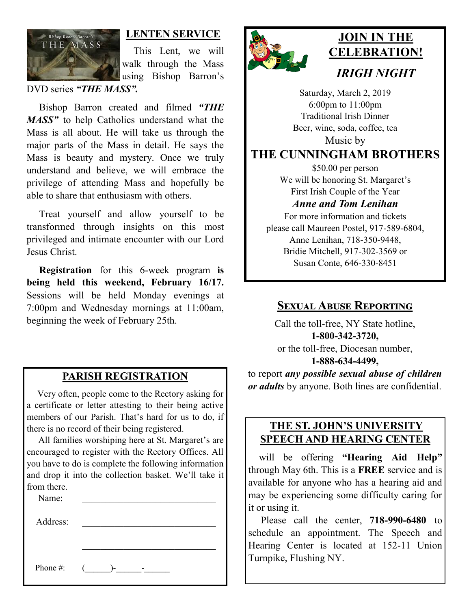

#### **LENTEN SERVICE**

 This Lent, we will walk through the Mass using Bishop Barron's

DVD series *"THE MASS".*

 Bishop Barron created and filmed *"THE MASS"* to help Catholics understand what the Mass is all about. He will take us through the major parts of the Mass in detail. He says the Mass is beauty and mystery. Once we truly understand and believe, we will embrace the privilege of attending Mass and hopefully be able to share that enthusiasm with others.

 Treat yourself and allow yourself to be transformed through insights on this most privileged and intimate encounter with our Lord Jesus Christ.

 **Registration** for this 6-week program **is being held this weekend, February 16/17.**  Sessions will be held Monday evenings at 7:00pm and Wednesday mornings at 11:00am, beginning the week of February 25th.

#### **PARISH REGISTRATION**

 Very often, people come to the Rectory asking for a certificate or letter attesting to their being active members of our Parish. That's hard for us to do, if there is no record of their being registered.

 All families worshiping here at St. Margaret's are encouraged to register with the Rectory Offices. All you have to do is complete the following information and drop it into the collection basket. We'll take it from there.

Name:

Address:

Phone #:  $($   $)$ -  $-$ 



# **JOIN IN THE CELEBRATION!** *IRIGH NIGHT*

Saturday, March 2, 2019 6:00pm to 11:00pm Traditional Irish Dinner Beer, wine, soda, coffee, tea Music by

**THE CUNNINGHAM BROTHERS**

\$50.00 per person We will be honoring St. Margaret's First Irish Couple of the Year

#### *Anne and Tom Lenihan*

For more information and tickets please call Maureen Postel, 917-589-6804, Anne Lenihan, 718-350-9448, Bridie Mitchell, 917-302-3569 or Susan Conte, 646-330-8451

#### **Sexual Abuse Reporting**

Call the toll-free, NY State hotline, **1-800-342-3720,** or the toll-free, Diocesan number, **1-888-634-4499,**

to report *any possible sexual abuse of children or adults* by anyone. Both lines are confidential.

#### **THE ST. JOHN'S UNIVERSITY SPEECH AND HEARING CENTER**

 will be offering **"Hearing Aid Help"**  through May 6th. This is a **FREE** service and is available for anyone who has a hearing aid and may be experiencing some difficulty caring for it or using it.

 Please call the center, **718-990-6480** to schedule an appointment. The Speech and Hearing Center is located at 152-11 Union Turnpike, Flushing NY.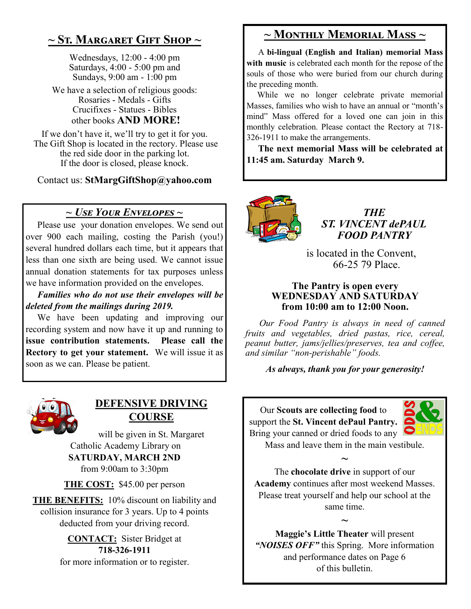# **~ St. Margaret Gift Shop ~**

Wednesdays, 12:00 - 4:00 pm Saturdays, 4:00 - 5:00 pm and Sundays, 9:00 am - 1:00 pm

We have a selection of religious goods: Rosaries - Medals - Gifts Crucifixes - Statues - Bibles other books **AND MORE!**

If we don't have it, we'll try to get it for you. The Gift Shop is located in the rectory. Please use the red side door in the parking lot. If the door is closed, please knock.

Contact us: **StMargGiftShop@yahoo.com**

#### *~ Use Your Envelopes ~*

 Please use your donation envelopes. We send out over 900 each mailing, costing the Parish (you!) several hundred dollars each time, but it appears that less than one sixth are being used. We cannot issue annual donation statements for tax purposes unless we have information provided on the envelopes.

 *Families who do not use their envelopes will be deleted from the mailings during 2019.*

 We have been updating and improving our recording system and now have it up and running to **issue contribution statements. Please call the Rectory to get your statement.** We will issue it as soon as we can. Please be patient.



#### **DEFENSIVE DRIVING COURSE**

will be given in St. Margaret Catholic Academy Library on **SATURDAY, MARCH 2ND** from 9:00am to 3:30pm

**THE COST:** \$45.00 per person

**THE BENEFITS:** 10% discount on liability and collision insurance for 3 years. Up to 4 points deducted from your driving record.

> **CONTACT:** Sister Bridget at **718-326-1911** for more information or to register.

## **~ Monthly Memorial Mass ~**

 A **bi-lingual (English and Italian) memorial Mass**  with music is celebrated each month for the repose of the souls of those who were buried from our church during the preceding month.

 While we no longer celebrate private memorial Masses, families who wish to have an annual or "month's mind" Mass offered for a loved one can join in this monthly celebration. Please contact the Rectory at 718- 326-1911 to make the arrangements.

 **The next memorial Mass will be celebrated at 11:45 am. Saturday March 9.** 



*THE ST. VINCENT dePAUL FOOD PANTRY*

 is located in the Convent, 66-25 79 Place.

#### **The Pantry is open every WEDNESDAY AND SATURDAY from 10:00 am to 12:00 Noon.**

 *Our Food Pantry is always in need of canned fruits and vegetables, dried pastas, rice, cereal, peanut butter, jams/jellies/preserves, tea and coffee, and similar "non-perishable" foods.*

*As always, thank you for your generosity!*

Our **Scouts are collecting food** to support the **St. Vincent dePaul Pantry.**  Bring your canned or dried foods to any



Mass and leave them in the main vestibule. **~**

The **chocolate drive** in support of our **Academy** continues after most weekend Masses. Please treat yourself and help our school at the same time.

**~ Maggie's Little Theater** will present *"NOISES OFF"* this Spring. More information and performance dates on Page 6 of this bulletin.